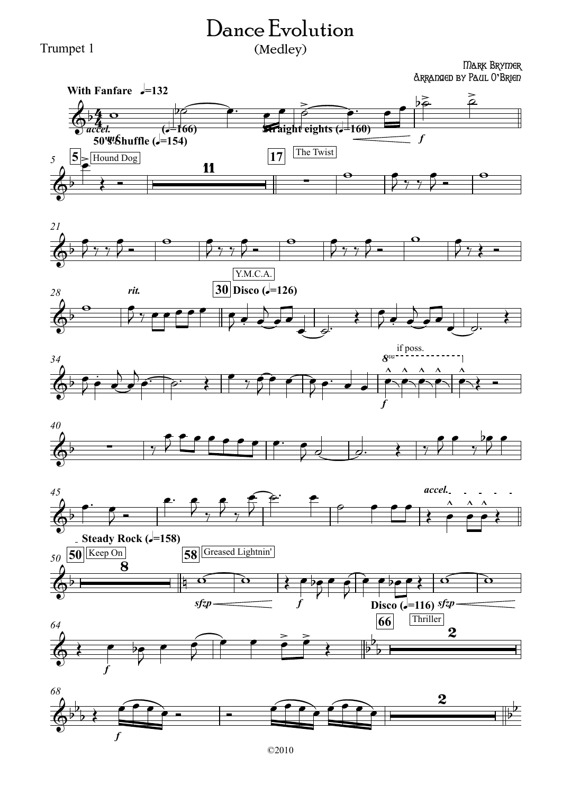## Dance Evolution (Medley)

Trumpet 1

## Mark Brymer Arranged by Paul O**'**Brien















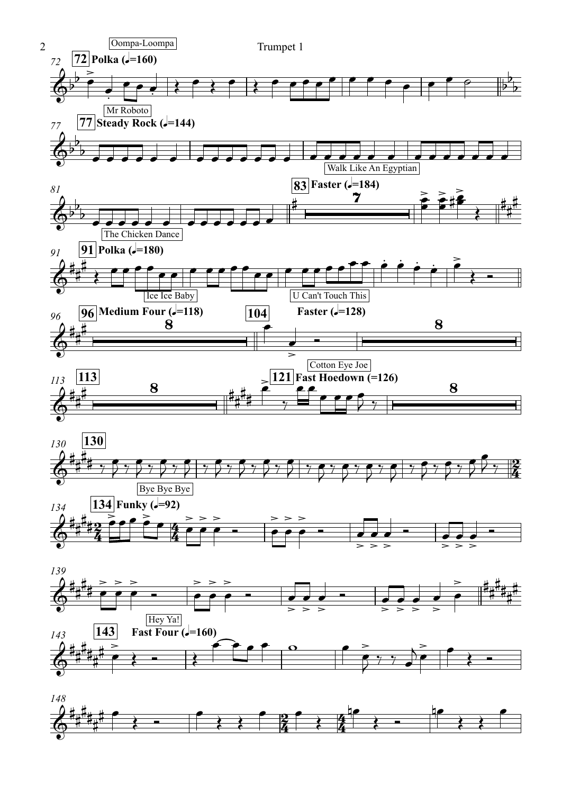